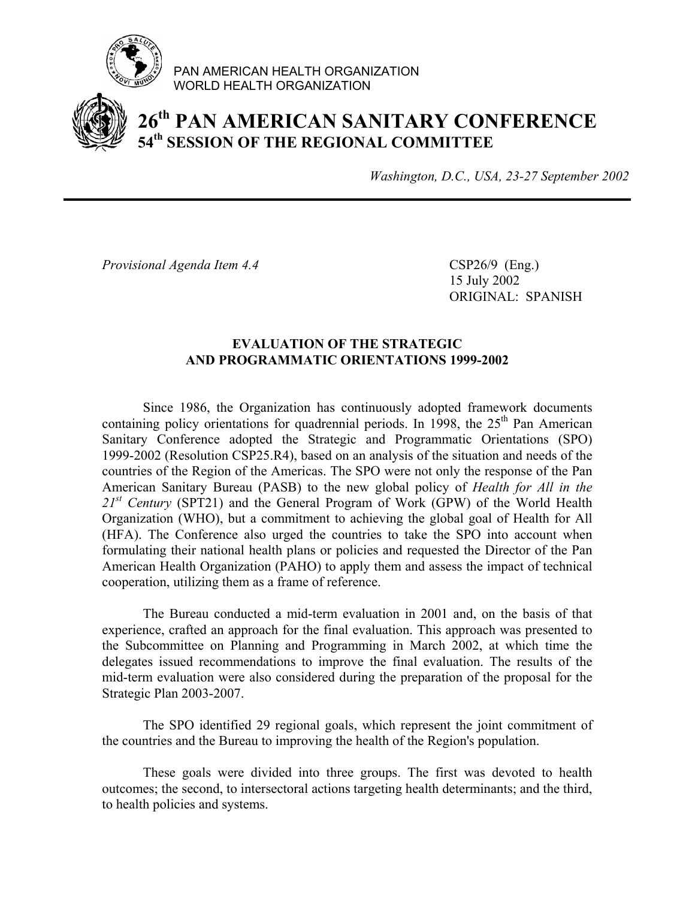

PAN AMERICAN HEALTH ORGANIZATION WORLD HEALTH ORGANIZATION

## **26th PAN AMERICAN SANITARY CONFERENCE 54th SESSION OF THE REGIONAL COMMITTEE**

*Washington, D.C., USA, 23-27 September 2002*

*Provisional Agenda Item 4.4* CSP26/9 (Eng.)

 15 July 2002 ORIGINAL: SPANISH

## **EVALUATION OF THE STRATEGIC AND PROGRAMMATIC ORIENTATIONS 1999-2002**

 Since 1986, the Organization has continuously adopted framework documents containing policy orientations for quadrennial periods. In 1998, the  $25<sup>th</sup>$  Pan American Sanitary Conference adopted the Strategic and Programmatic Orientations (SPO) 1999-2002 (Resolution CSP25.R4), based on an analysis of the situation and needs of the countries of the Region of the Americas. The SPO were not only the response of the Pan American Sanitary Bureau (PASB) to the new global policy of *Health for All in the*  21<sup>st</sup> Century (SPT21) and the General Program of Work (GPW) of the World Health Organization (WHO), but a commitment to achieving the global goal of Health for All (HFA). The Conference also urged the countries to take the SPO into account when formulating their national health plans or policies and requested the Director of the Pan American Health Organization (PAHO) to apply them and assess the impact of technical cooperation, utilizing them as a frame of reference.

 The Bureau conducted a mid-term evaluation in 2001 and, on the basis of that experience, crafted an approach for the final evaluation. This approach was presented to the Subcommittee on Planning and Programming in March 2002, at which time the delegates issued recommendations to improve the final evaluation. The results of the mid-term evaluation were also considered during the preparation of the proposal for the Strategic Plan 2003-2007.

 The SPO identified 29 regional goals, which represent the joint commitment of the countries and the Bureau to improving the health of the Region's population.

 These goals were divided into three groups. The first was devoted to health outcomes; the second, to intersectoral actions targeting health determinants; and the third, to health policies and systems.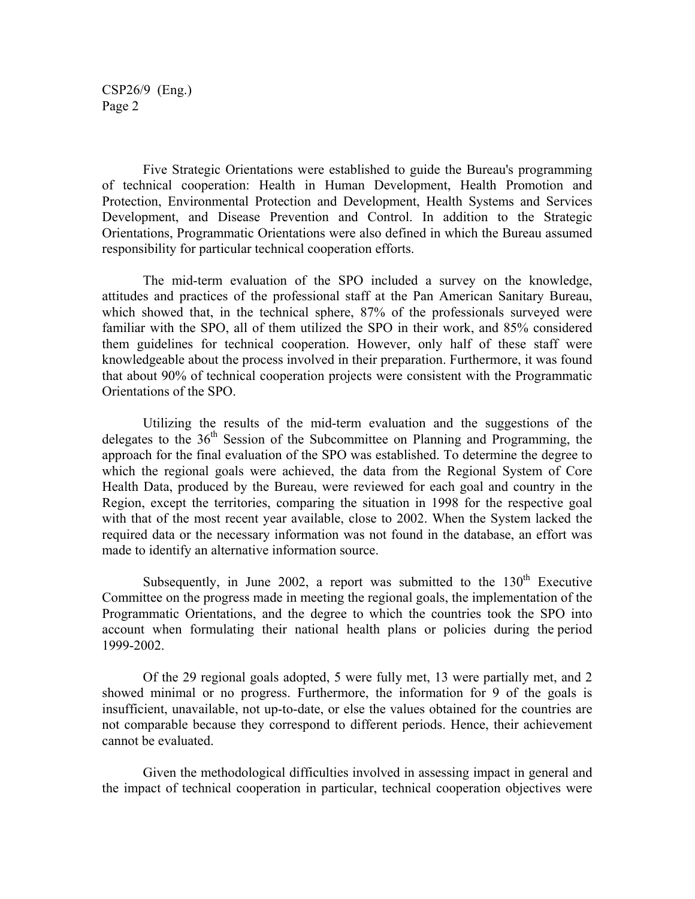CSP26/9 (Eng.) Page 2

 Five Strategic Orientations were established to guide the Bureau's programming of technical cooperation: Health in Human Development, Health Promotion and Protection, Environmental Protection and Development, Health Systems and Services Development, and Disease Prevention and Control. In addition to the Strategic Orientations, Programmatic Orientations were also defined in which the Bureau assumed responsibility for particular technical cooperation efforts.

 The mid-term evaluation of the SPO included a survey on the knowledge, attitudes and practices of the professional staff at the Pan American Sanitary Bureau, which showed that, in the technical sphere, 87% of the professionals surveyed were familiar with the SPO, all of them utilized the SPO in their work, and 85% considered them guidelines for technical cooperation. However, only half of these staff were knowledgeable about the process involved in their preparation. Furthermore, it was found that about 90% of technical cooperation projects were consistent with the Programmatic Orientations of the SPO.

 Utilizing the results of the mid-term evaluation and the suggestions of the delegates to the 36<sup>th</sup> Session of the Subcommittee on Planning and Programming, the approach for the final evaluation of the SPO was established. To determine the degree to which the regional goals were achieved, the data from the Regional System of Core Health Data, produced by the Bureau, were reviewed for each goal and country in the Region, except the territories, comparing the situation in 1998 for the respective goal with that of the most recent year available, close to 2002. When the System lacked the required data or the necessary information was not found in the database, an effort was made to identify an alternative information source.

Subsequently, in June 2002, a report was submitted to the  $130<sup>th</sup>$  Executive Committee on the progress made in meeting the regional goals, the implementation of the Programmatic Orientations, and the degree to which the countries took the SPO into account when formulating their national health plans or policies during the period 1999-2002.

 Of the 29 regional goals adopted, 5 were fully met, 13 were partially met, and 2 showed minimal or no progress. Furthermore, the information for 9 of the goals is insufficient, unavailable, not up-to-date, or else the values obtained for the countries are not comparable because they correspond to different periods. Hence, their achievement cannot be evaluated.

 Given the methodological difficulties involved in assessing impact in general and the impact of technical cooperation in particular, technical cooperation objectives were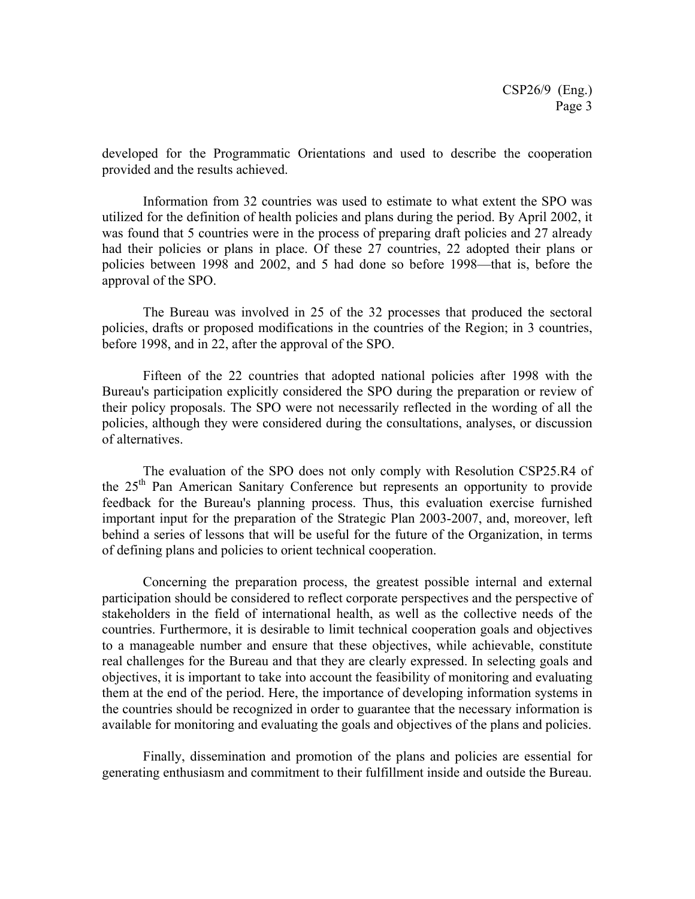developed for the Programmatic Orientations and used to describe the cooperation provided and the results achieved.

 Information from 32 countries was used to estimate to what extent the SPO was utilized for the definition of health policies and plans during the period. By April 2002, it was found that 5 countries were in the process of preparing draft policies and 27 already had their policies or plans in place. Of these 27 countries, 22 adopted their plans or policies between 1998 and 2002, and 5 had done so before 1998—that is, before the approval of the SPO.

 The Bureau was involved in 25 of the 32 processes that produced the sectoral policies, drafts or proposed modifications in the countries of the Region; in 3 countries, before 1998, and in 22, after the approval of the SPO.

 Fifteen of the 22 countries that adopted national policies after 1998 with the Bureau's participation explicitly considered the SPO during the preparation or review of their policy proposals. The SPO were not necessarily reflected in the wording of all the policies, although they were considered during the consultations, analyses, or discussion of alternatives.

 The evaluation of the SPO does not only comply with Resolution CSP25.R4 of the 25<sup>th</sup> Pan American Sanitary Conference but represents an opportunity to provide feedback for the Bureau's planning process. Thus, this evaluation exercise furnished important input for the preparation of the Strategic Plan 2003-2007, and, moreover, left behind a series of lessons that will be useful for the future of the Organization, in terms of defining plans and policies to orient technical cooperation.

 Concerning the preparation process, the greatest possible internal and external participation should be considered to reflect corporate perspectives and the perspective of stakeholders in the field of international health, as well as the collective needs of the countries. Furthermore, it is desirable to limit technical cooperation goals and objectives to a manageable number and ensure that these objectives, while achievable, constitute real challenges for the Bureau and that they are clearly expressed. In selecting goals and objectives, it is important to take into account the feasibility of monitoring and evaluating them at the end of the period. Here, the importance of developing information systems in the countries should be recognized in order to guarantee that the necessary information is available for monitoring and evaluating the goals and objectives of the plans and policies.

 Finally, dissemination and promotion of the plans and policies are essential for generating enthusiasm and commitment to their fulfillment inside and outside the Bureau.